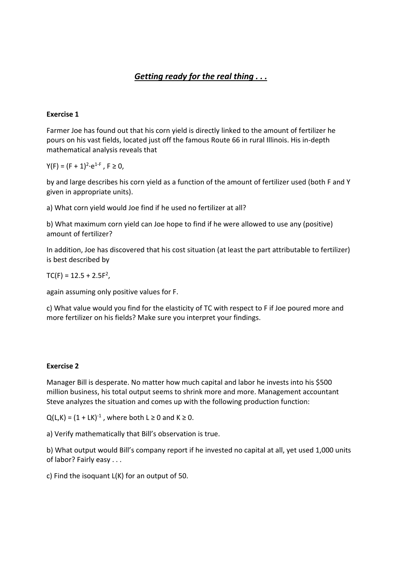# *Getting ready for the real thing . . .*

## **Exercise 1**

Farmer Joe has found out that his corn yield is directly linked to the amount of fertilizer he pours on his vast fields, located just off the famous Route 66 in rural Illinois. His in‐depth mathematical analysis reveals that

 $Y(F) = (F + 1)^2 \cdot e^{1-F}$ ,  $F \ge 0$ ,

by and large describes his corn yield as a function of the amount of fertilizer used (both F and Y given in appropriate units).

a) What corn yield would Joe find if he used no fertilizer at all?

b) What maximum corn yield can Joe hope to find if he were allowed to use any (positive) amount of fertilizer?

In addition, Joe has discovered that his cost situation (at least the part attributable to fertilizer) is best described by

 $TC(F) = 12.5 + 2.5F<sup>2</sup>$ ,

again assuming only positive values for F.

c) What value would you find for the elasticity of TC with respect to F if Joe poured more and more fertilizer on his fields? Make sure you interpret your findings.

## **Exercise 2**

Manager Bill is desperate. No matter how much capital and labor he invests into his \$500 million business, his total output seems to shrink more and more. Management accountant Steve analyzes the situation and comes up with the following production function:

 $Q(L,K) = (1 + LK)^{-1}$ , where both  $L \ge 0$  and  $K \ge 0$ .

a) Verify mathematically that Bill's observation is true.

b) What output would Bill's company report if he invested no capital at all, yet used 1,000 units of labor? Fairly easy . . .

c) Find the isoquant L(K) for an output of 50.